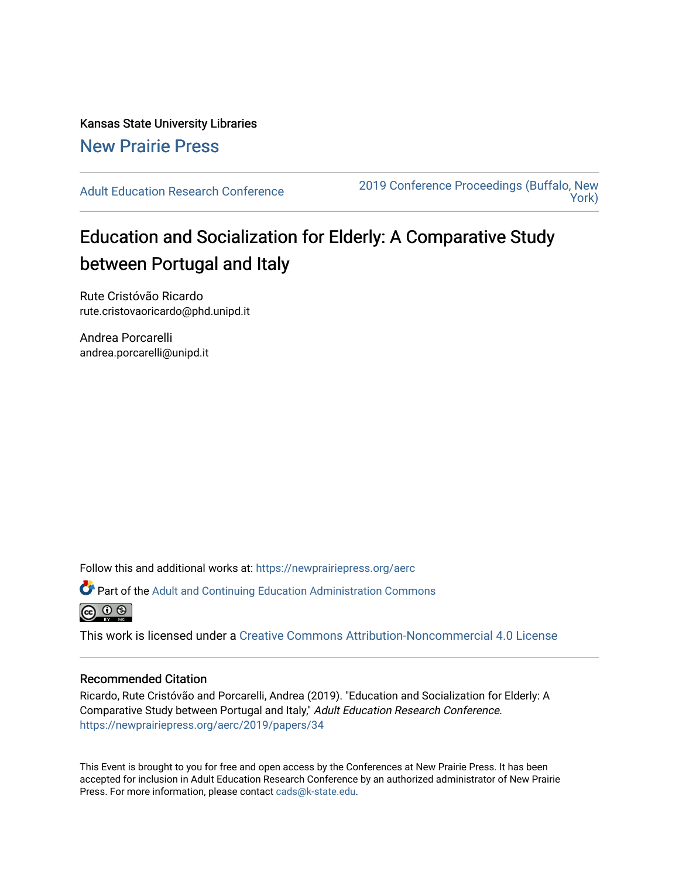Kansas State University Libraries [New Prairie Press](https://newprairiepress.org/) 

[Adult Education Research Conference](https://newprairiepress.org/aerc) [2019 Conference Proceedings \(Buffalo, New](https://newprairiepress.org/aerc/2019)  [York\)](https://newprairiepress.org/aerc/2019) 

# Education and Socialization for Elderly: A Comparative Study between Portugal and Italy

Rute Cristóvão Ricardo rute.cristovaoricardo@phd.unipd.it

Andrea Porcarelli andrea.porcarelli@unipd.it

Follow this and additional works at: [https://newprairiepress.org/aerc](https://newprairiepress.org/aerc?utm_source=newprairiepress.org%2Faerc%2F2019%2Fpapers%2F34&utm_medium=PDF&utm_campaign=PDFCoverPages)

Part of the [Adult and Continuing Education Administration Commons](http://network.bepress.com/hgg/discipline/789?utm_source=newprairiepress.org%2Faerc%2F2019%2Fpapers%2F34&utm_medium=PDF&utm_campaign=PDFCoverPages)



This work is licensed under a [Creative Commons Attribution-Noncommercial 4.0 License](https://creativecommons.org/licenses/by-nc/4.0/)

#### Recommended Citation

Ricardo, Rute Cristóvão and Porcarelli, Andrea (2019). "Education and Socialization for Elderly: A Comparative Study between Portugal and Italy," Adult Education Research Conference. <https://newprairiepress.org/aerc/2019/papers/34>

This Event is brought to you for free and open access by the Conferences at New Prairie Press. It has been accepted for inclusion in Adult Education Research Conference by an authorized administrator of New Prairie Press. For more information, please contact [cads@k-state.edu.](mailto:cads@k-state.edu)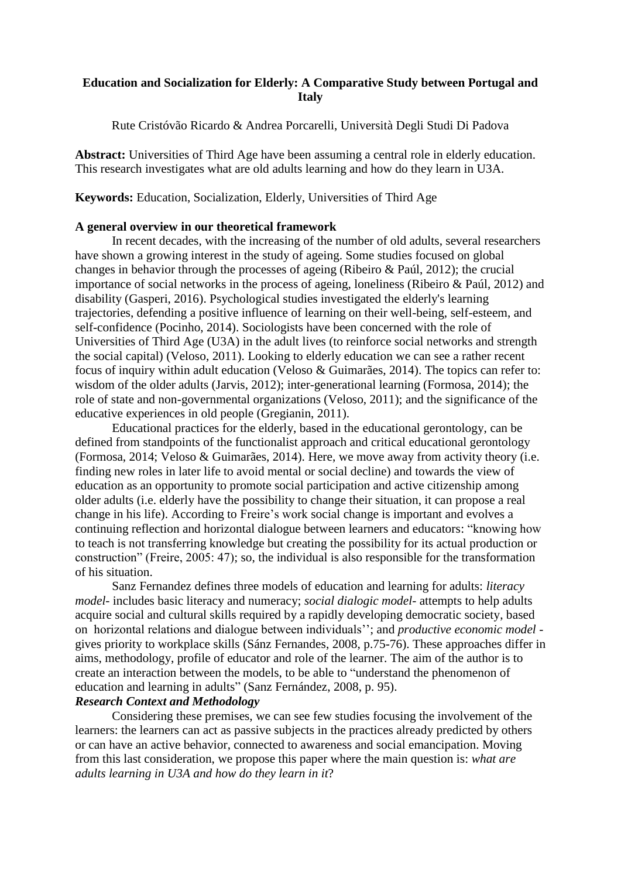## **Education and Socialization for Elderly: A Comparative Study between Portugal and Italy**

Rute Cristóvão Ricardo & Andrea Porcarelli, Università Degli Studi Di Padova

**Abstract:** Universities of Third Age have been assuming a central role in elderly education. This research investigates what are old adults learning and how do they learn in U3A.

**Keywords:** Education, Socialization, Elderly, Universities of Third Age

## **A general overview in our theoretical framework**

In recent decades, with the increasing of the number of old adults, several researchers have shown a growing interest in the study of ageing. Some studies focused on global changes in behavior through the processes of ageing (Ribeiro & Paúl, 2012); the crucial importance of social networks in the process of ageing, loneliness (Ribeiro & Paúl, 2012) and disability (Gasperi, 2016). Psychological studies investigated the elderly's learning trajectories, defending a positive influence of learning on their well-being, self-esteem, and self-confidence (Pocinho, 2014). Sociologists have been concerned with the role of Universities of Third Age (U3A) in the adult lives (to reinforce social networks and strength the social capital) (Veloso, 2011). Looking to elderly education we can see a rather recent focus of inquiry within adult education (Veloso & Guimarães, 2014). The topics can refer to: wisdom of the older adults (Jarvis, 2012); inter-generational learning (Formosa, 2014); the role of state and non-governmental organizations (Veloso, 2011); and the significance of the educative experiences in old people (Gregianin, 2011).

Educational practices for the elderly, based in the educational gerontology, can be defined from standpoints of the functionalist approach and critical educational gerontology (Formosa, 2014; Veloso & Guimarães, 2014). Here, we move away from activity theory (i.e. finding new roles in later life to avoid mental or social decline) and towards the view of education as an opportunity to promote social participation and active citizenship among older adults (i.e. elderly have the possibility to change their situation, it can propose a real change in his life). According to Freire's work social change is important and evolves a continuing reflection and horizontal dialogue between learners and educators: "knowing how to teach is not transferring knowledge but creating the possibility for its actual production or construction" (Freire, 2005: 47); so, the individual is also responsible for the transformation of his situation.

Sanz Fernandez defines three models of education and learning for adults: *literacy model*- includes basic literacy and numeracy; *social dialogic model*- attempts to help adults acquire social and cultural skills required by a rapidly developing democratic society, based on horizontal relations and dialogue between individuals''; and *productive economic model* gives priority to workplace skills (Sánz Fernandes, 2008, p.75-76). These approaches differ in aims, methodology, profile of educator and role of the learner. The aim of the author is to create an interaction between the models, to be able to "understand the phenomenon of education and learning in adults" (Sanz Fernández, 2008, p. 95).

# *Research Context and Methodology*

Considering these premises, we can see few studies focusing the involvement of the learners: the learners can act as passive subjects in the practices already predicted by others or can have an active behavior, connected to awareness and social emancipation. Moving from this last consideration, we propose this paper where the main question is: *what are adults learning in U3A and how do they learn in it*?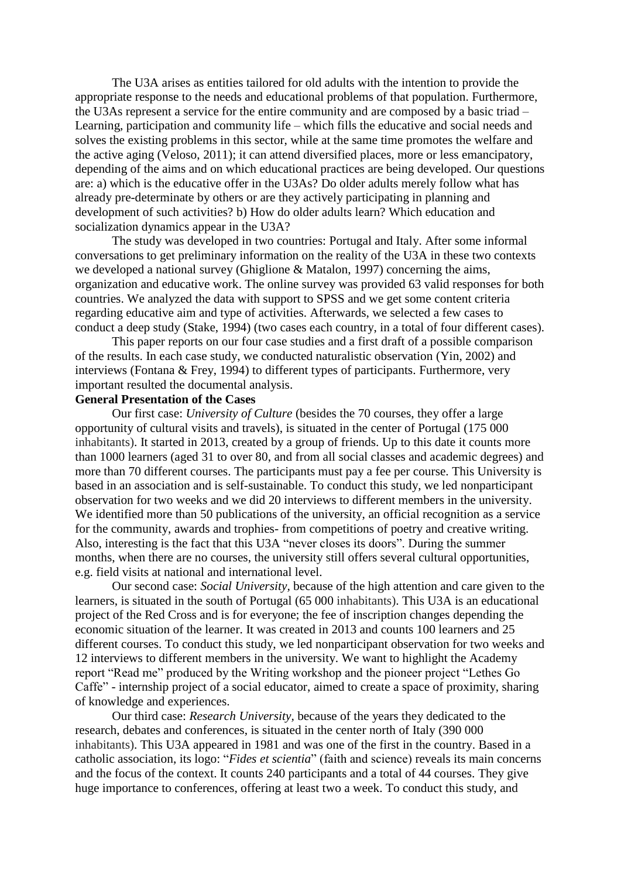The U3A arises as entities tailored for old adults with the intention to provide the appropriate response to the needs and educational problems of that population. Furthermore, the U3As represent a service for the entire community and are composed by a basic triad – Learning, participation and community life – which fills the educative and social needs and solves the existing problems in this sector, while at the same time promotes the welfare and the active aging (Veloso, 2011); it can attend diversified places, more or less emancipatory, depending of the aims and on which educational practices are being developed. Our questions are: a) which is the educative offer in the U3As? Do older adults merely follow what has already pre-determinate by others or are they actively participating in planning and development of such activities? b) How do older adults learn? Which education and socialization dynamics appear in the U3A?

The study was developed in two countries: Portugal and Italy. After some informal conversations to get preliminary information on the reality of the U3A in these two contexts we developed a national survey (Ghiglione & Matalon, 1997) concerning the aims, organization and educative work. The online survey was provided 63 valid responses for both countries. We analyzed the data with support to SPSS and we get some content criteria regarding educative aim and type of activities. Afterwards, we selected a few cases to conduct a deep study (Stake, 1994) (two cases each country, in a total of four different cases).

This paper reports on our four case studies and a first draft of a possible comparison of the results. In each case study, we conducted naturalistic observation (Yin, 2002) and interviews (Fontana & Frey, 1994) to different types of participants. Furthermore, very important resulted the documental analysis.

## **General Presentation of the Cases**

Our first case: *University of Culture* (besides the 70 courses, they offer a large opportunity of cultural visits and travels), is situated in the center of Portugal (175 000 inhabitants). It started in 2013, created by a group of friends. Up to this date it counts more than 1000 learners (aged 31 to over 80, and from all social classes and academic degrees) and more than 70 different courses. The participants must pay a fee per course. This University is based in an association and is self-sustainable. To conduct this study, we led nonparticipant observation for two weeks and we did 20 interviews to different members in the university. We identified more than 50 publications of the university, an official recognition as a service for the community, awards and trophies- from competitions of poetry and creative writing. Also, interesting is the fact that this U3A "never closes its doors". During the summer months, when there are no courses, the university still offers several cultural opportunities, e.g. field visits at national and international level.

Our second case: *Social University,* because of the high attention and care given to the learners, is situated in the south of Portugal (65 000 inhabitants). This U3A is an educational project of the Red Cross and is for everyone; the fee of inscription changes depending the economic situation of the learner. It was created in 2013 and counts 100 learners and 25 different courses. To conduct this study, we led nonparticipant observation for two weeks and 12 interviews to different members in the university. We want to highlight the Academy report "Read me" produced by the Writing workshop and the pioneer project "Lethes Go Caffe" - internship project of a social educator, aimed to create a space of proximity, sharing of knowledge and experiences.

Our third case: *Research University,* because of the years they dedicated to the research, debates and conferences, is situated in the center north of Italy (390 000 inhabitants). This U3A appeared in 1981 and was one of the first in the country. Based in a catholic association, its logo: "*Fides et scientia*" (faith and science) reveals its main concerns and the focus of the context. It counts 240 participants and a total of 44 courses. They give huge importance to conferences, offering at least two a week. To conduct this study, and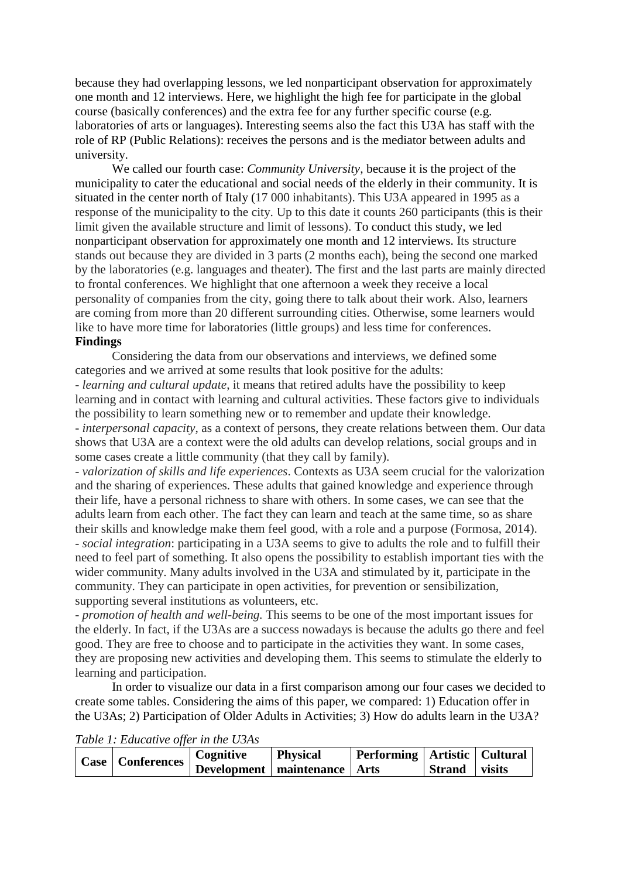because they had overlapping lessons, we led nonparticipant observation for approximately one month and 12 interviews. Here, we highlight the high fee for participate in the global course (basically conferences) and the extra fee for any further specific course (e.g. laboratories of arts or languages). Interesting seems also the fact this U3A has staff with the role of RP (Public Relations): receives the persons and is the mediator between adults and university.

We called our fourth case: *Community University,* because it is the project of the municipality to cater the educational and social needs of the elderly in their community. It is situated in the center north of Italy (17 000 inhabitants). This U3A appeared in 1995 as a response of the municipality to the city. Up to this date it counts 260 participants (this is their limit given the available structure and limit of lessons). To conduct this study, we led nonparticipant observation for approximately one month and 12 interviews. Its structure stands out because they are divided in 3 parts (2 months each), being the second one marked by the laboratories (e.g. languages and theater). The first and the last parts are mainly directed to frontal conferences. We highlight that one afternoon a week they receive a local personality of companies from the city, going there to talk about their work. Also, learners are coming from more than 20 different surrounding cities. Otherwise, some learners would like to have more time for laboratories (little groups) and less time for conferences. **Findings**

Considering the data from our observations and interviews, we defined some categories and we arrived at some results that look positive for the adults:

*- learning and cultural update*, it means that retired adults have the possibility to keep learning and in contact with learning and cultural activities. These factors give to individuals the possibility to learn something new or to remember and update their knowledge.

- *interpersonal capacity*, as a context of persons, they create relations between them. Our data shows that U3A are a context were the old adults can develop relations, social groups and in some cases create a little community (that they call by family).

- *valorization of skills and life experiences*. Contexts as U3A seem crucial for the valorization and the sharing of experiences. These adults that gained knowledge and experience through their life, have a personal richness to share with others. In some cases, we can see that the adults learn from each other. The fact they can learn and teach at the same time, so as share their skills and knowledge make them feel good, with a role and a purpose (Formosa, 2014). - *social integration*: participating in a U3A seems to give to adults the role and to fulfill their need to feel part of something. It also opens the possibility to establish important ties with the wider community. Many adults involved in the U3A and stimulated by it, participate in the community. They can participate in open activities, for prevention or sensibilization, supporting several institutions as volunteers, etc.

- *promotion of health and well-being.* This seems to be one of the most important issues for the elderly. In fact, if the U3As are a success nowadays is because the adults go there and feel good. They are free to choose and to participate in the activities they want. In some cases, they are proposing new activities and developing them. This seems to stimulate the elderly to learning and participation.

In order to visualize our data in a first comparison among our four cases we decided to create some tables. Considering the aims of this paper, we compared: 1) Education offer in the U3As; 2) Participation of Older Adults in Activities; 3) How do adults learn in the U3A?

**Case Conferences Cognitive Development maintenance Physical Performing Arts Artistic Strand Cultural visits**

*Table 1: Educative offer in the U3As*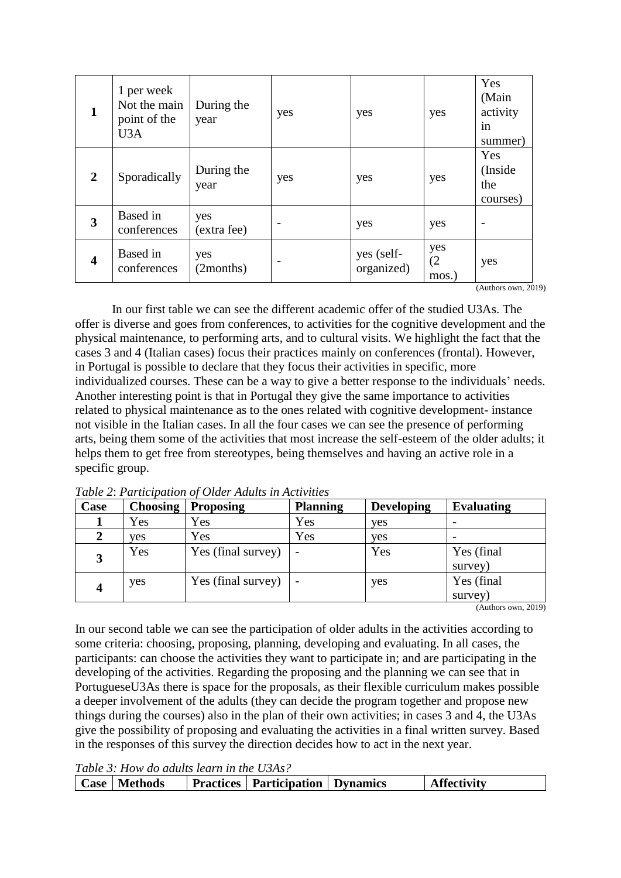| $\mathbf{1}$            | 1 per week<br>Not the main<br>point of the<br>U <sub>3</sub> A | During the<br>year | yes | yes                      | yes                 | Yes<br>(Main<br>activity<br>in<br>summer) |
|-------------------------|----------------------------------------------------------------|--------------------|-----|--------------------------|---------------------|-------------------------------------------|
| $\overline{2}$          | Sporadically                                                   | During the<br>year | yes | yes                      | yes                 | Yes<br>(Inside<br>the<br>courses)         |
| 3                       | Based in<br>conferences                                        | yes<br>(extra fee) |     | yes                      | yes                 |                                           |
| $\overline{\mathbf{4}}$ | Based in<br>conferences                                        | yes<br>(2months)   |     | yes (self-<br>organized) | yes<br>(2)<br>mos.) | yes<br>$(1 - 1)$                          |

(Authors own, 2019)

In our first table we can see the different academic offer of the studied U3As. The offer is diverse and goes from conferences, to activities for the cognitive development and the physical maintenance, to performing arts, and to cultural visits. We highlight the fact that the cases 3 and 4 (Italian cases) focus their practices mainly on conferences (frontal). However, in Portugal is possible to declare that they focus their activities in specific, more individualized courses. These can be a way to give a better response to the individuals' needs. Another interesting point is that in Portugal they give the same importance to activities related to physical maintenance as to the ones related with cognitive development- instance not visible in the Italian cases. In all the four cases we can see the presence of performing arts, being them some of the activities that most increase the self-esteem of the older adults; it helps them to get free from stereotypes, being themselves and having an active role in a specific group.

| Case | <b>Choosing</b> | <b>Proposing</b>   | <b>Planning</b> | <b>Developing</b> | <b>Evaluating</b>     |
|------|-----------------|--------------------|-----------------|-------------------|-----------------------|
|      | Yes             | Yes                | Yes             | yes               |                       |
|      | ves             | Yes                | Yes             | yes               |                       |
|      | Yes             | Yes (final survey) |                 | Yes               | Yes (final<br>survey) |
|      | ves             | Yes (final survey) |                 | yes               | Yes (final<br>survey) |

*Table 2*: *Participation of Older Adults in Activities*

(Authors own, 2019)

In our second table we can see the participation of older adults in the activities according to some criteria: choosing, proposing, planning, developing and evaluating. In all cases, the participants: can choose the activities they want to participate in; and are participating in the developing of the activities. Regarding the proposing and the planning we can see that in PortugueseU3As there is space for the proposals, as their flexible curriculum makes possible a deeper involvement of the adults (they can decide the program together and propose new things during the courses) also in the plan of their own activities; in cases 3 and 4, the U3As give the possibility of proposing and evaluating the activities in a final written survey. Based in the responses of this survey the direction decides how to act in the next year.

*Table 3: How do adults learn in the U3As?*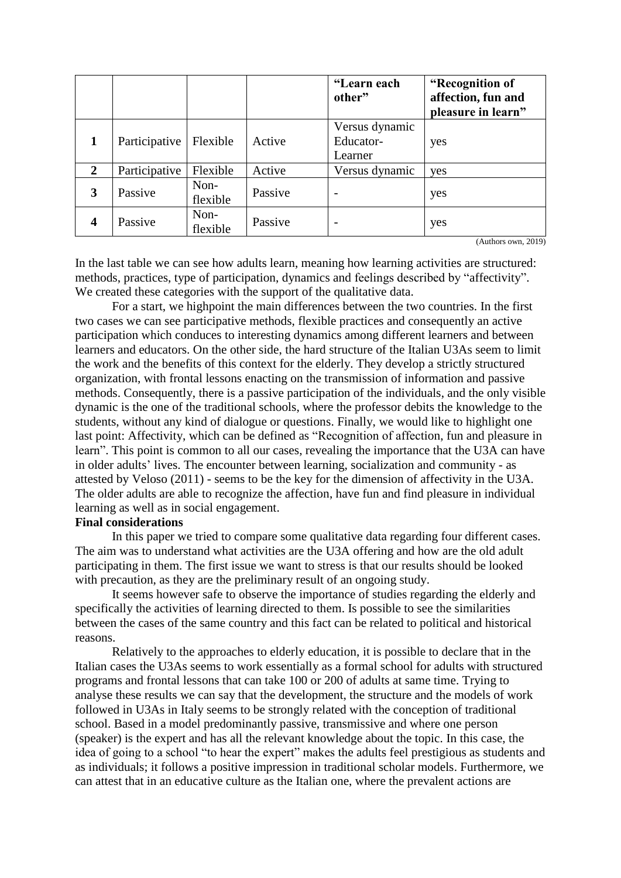|                  |               |                  |         | "Learn each<br>other"                  | "Recognition of<br>affection, fun and<br>pleasure in learn" |
|------------------|---------------|------------------|---------|----------------------------------------|-------------------------------------------------------------|
|                  | Participative | Flexible         | Active  | Versus dynamic<br>Educator-<br>Learner | yes                                                         |
| 2                | Participative | Flexible         | Active  | Versus dynamic                         | yes                                                         |
| 3                | Passive       | Non-<br>flexible | Passive | $\overline{\phantom{0}}$               | yes                                                         |
| $\boldsymbol{4}$ | Passive       | Non-<br>flexible | Passive | $\overline{\phantom{0}}$               | yes                                                         |

(Authors own, 2019)

In the last table we can see how adults learn, meaning how learning activities are structured: methods, practices, type of participation, dynamics and feelings described by "affectivity". We created these categories with the support of the qualitative data.

For a start, we highpoint the main differences between the two countries. In the first two cases we can see participative methods, flexible practices and consequently an active participation which conduces to interesting dynamics among different learners and between learners and educators. On the other side, the hard structure of the Italian U3As seem to limit the work and the benefits of this context for the elderly. They develop a strictly structured organization, with frontal lessons enacting on the transmission of information and passive methods. Consequently, there is a passive participation of the individuals, and the only visible dynamic is the one of the traditional schools, where the professor debits the knowledge to the students, without any kind of dialogue or questions. Finally, we would like to highlight one last point: Affectivity, which can be defined as "Recognition of affection, fun and pleasure in learn". This point is common to all our cases, revealing the importance that the U3A can have in older adults' lives. The encounter between learning, socialization and community - as attested by Veloso (2011) - seems to be the key for the dimension of affectivity in the U3A. The older adults are able to recognize the affection, have fun and find pleasure in individual learning as well as in social engagement.

## **Final considerations**

In this paper we tried to compare some qualitative data regarding four different cases. The aim was to understand what activities are the U3A offering and how are the old adult participating in them. The first issue we want to stress is that our results should be looked with precaution, as they are the preliminary result of an ongoing study.

It seems however safe to observe the importance of studies regarding the elderly and specifically the activities of learning directed to them. Is possible to see the similarities between the cases of the same country and this fact can be related to political and historical reasons.

Relatively to the approaches to elderly education, it is possible to declare that in the Italian cases the U3As seems to work essentially as a formal school for adults with structured programs and frontal lessons that can take 100 or 200 of adults at same time. Trying to analyse these results we can say that the development, the structure and the models of work followed in U3As in Italy seems to be strongly related with the conception of traditional school. Based in a model predominantly passive, transmissive and where one person (speaker) is the expert and has all the relevant knowledge about the topic. In this case, the idea of going to a school "to hear the expert" makes the adults feel prestigious as students and as individuals; it follows a positive impression in traditional scholar models. Furthermore, we can attest that in an educative culture as the Italian one, where the prevalent actions are